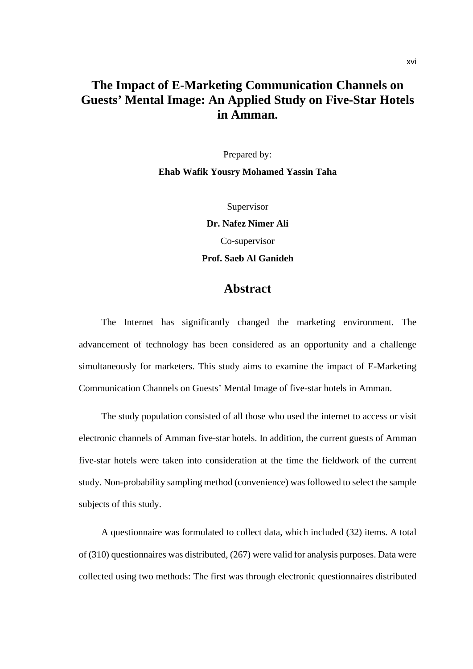## **The Impact of E-Marketing Communication Channels on Guests' Mental Image: An Applied Study on Five-Star Hotels in Amman.**

Prepared by:

**Ehab Wafik Yousry Mohamed Yassin Taha**

Supervisor **Dr. Nafez Nimer Ali**  Co-supervisor **Prof. Saeb Al Ganideh**

## **Abstract**

The Internet has significantly changed the marketing environment. The advancement of technology has been considered as an opportunity and a challenge simultaneously for marketers. This study aims to examine the impact of E-Marketing Communication Channels on Guests' Mental Image of five-star hotels in Amman.

The study population consisted of all those who used the internet to access or visit electronic channels of Amman five-star hotels. In addition, the current guests of Amman five-star hotels were taken into consideration at the time the fieldwork of the current study. Non-probability sampling method (convenience) was followed to select the sample subjects of this study.

A questionnaire was formulated to collect data, which included (32) items. A total of (310) questionnaires was distributed, (267) were valid for analysis purposes. Data were collected using two methods: The first was through electronic questionnaires distributed